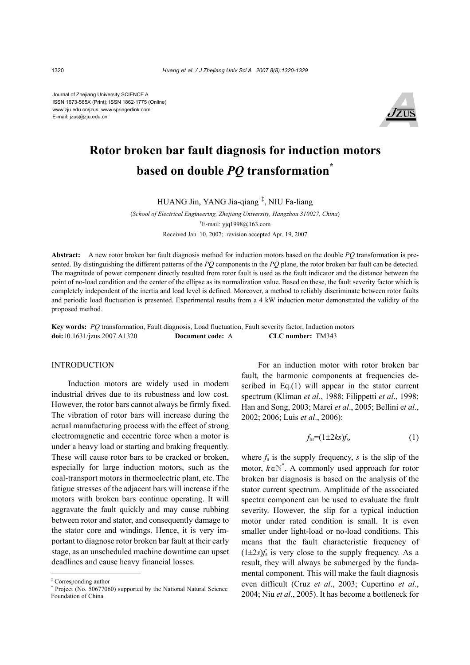Journal of Zhejiang University SCIENCE A ISSN 1673-565X (Print); ISSN 1862-1775 (Online) www.zju.edu.cn/jzus; www.springerlink.com E-mail: jzus@zju.edu.cn



# **Rotor broken bar fault diagnosis for induction motors based on double** *PQ* **transformation\***

HUANG Jin, YANG Jia-qiang†‡, NIU Fa-liang

(*School of Electrical Engineering, Zhejiang University, Hangzhou 310027, China*) † E-mail: yjq1998@163.com Received Jan. 10, 2007; revision accepted Apr. 19, 2007

**Abstract:** A new rotor broken bar fault diagnosis method for induction motors based on the double *PQ* transformation is presented. By distinguishing the different patterns of the *PQ* components in the *PQ* plane, the rotor broken bar fault can be detected. The magnitude of power component directly resulted from rotor fault is used as the fault indicator and the distance between the point of no-load condition and the center of the ellipse as its normalization value. Based on these, the fault severity factor which is completely independent of the inertia and load level is defined. Moreover, a method to reliably discriminate between rotor faults and periodic load fluctuation is presented. Experimental results from a 4 kW induction motor demonstrated the validity of the proposed method.

**Key words:** *PQ* transformation, Fault diagnosis, Load fluctuation, Fault severity factor, Induction motors **doi:**10.1631/jzus.2007.A1320 **Document code:** A **CLC number:** TM343

#### INTRODUCTION

Induction motors are widely used in modern industrial drives due to its robustness and low cost. However, the rotor bars cannot always be firmly fixed. The vibration of rotor bars will increase during the actual manufacturing process with the effect of strong electromagnetic and eccentric force when a motor is under a heavy load or starting and braking frequently. These will cause rotor bars to be cracked or broken, especially for large induction motors, such as the coal-transport motors in thermoelectric plant, etc. The fatigue stresses of the adjacent bars will increase if the motors with broken bars continue operating. It will aggravate the fault quickly and may cause rubbing between rotor and stator, and consequently damage to the stator core and windings. Hence, it is very important to diagnose rotor broken bar fault at their early stage, as an unscheduled machine downtime can upset deadlines and cause heavy financial losses.

For an induction motor with rotor broken bar fault, the harmonic components at frequencies described in Eq.(1) will appear in the stator current spectrum (Kliman *et al*., 1988; Filippetti *et al*., 1998; Han and Song, 2003; Marei *et al*., 2005; Bellini e*t al*., 2002; 2006; Luis *et al*., 2006):

$$
f_{\rm br} = (1 \pm 2ks)f_{\rm s},\tag{1}
$$

where  $f_s$  is the supply frequency,  $s$  is the slip of the motor,  $k \in \mathbb{N}^*$ . A commonly used approach for rotor broken bar diagnosis is based on the analysis of the stator current spectrum. Amplitude of the associated spectra component can be used to evaluate the fault severity. However, the slip for a typical induction motor under rated condition is small. It is even smaller under light-load or no-load conditions. This means that the fault characteristic frequency of  $(1\pm 2s)f_s$  is very close to the supply frequency. As a result, they will always be submerged by the fundamental component. This will make the fault diagnosis even difficult (Cruz *et al*., 2003; Cupertino *et al*., 2004; Niu *et al*., 2005). It has become a bottleneck for

<sup>‡</sup> Corresponding author

<sup>\*</sup> Project (No. 50677060) supported by the National Natural Science Foundation of China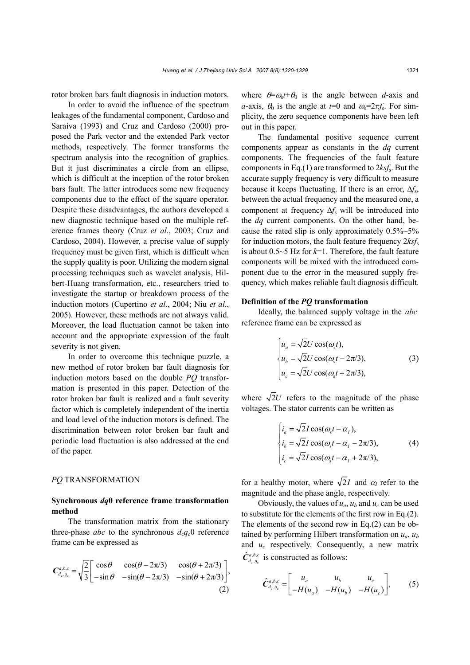rotor broken bars fault diagnosis in induction motors.

In order to avoid the influence of the spectrum leakages of the fundamental component, Cardoso and Saraiva (1993) and Cruz and Cardoso (2000) proposed the Park vector and the extended Park vector methods, respectively. The former transforms the spectrum analysis into the recognition of graphics. But it just discriminates a circle from an ellipse, which is difficult at the inception of the rotor broken bars fault. The latter introduces some new frequency components due to the effect of the square operator. Despite these disadvantages, the authors developed a new diagnostic technique based on the multiple reference frames theory (Cruz *et al*., 2003; Cruz and Cardoso, 2004). However, a precise value of supply frequency must be given first, which is difficult when the supply quality is poor. Utilizing the modern signal processing techniques such as wavelet analysis, Hilbert-Huang transformation, etc., researchers tried to investigate the startup or breakdown process of the induction motors (Cupertino *et al*., 2004; Niu *et al*., 2005). However, these methods are not always valid. Moreover, the load fluctuation cannot be taken into account and the appropriate expression of the fault severity is not given.

In order to overcome this technique puzzle, a new method of rotor broken bar fault diagnosis for induction motors based on the double *PQ* transformation is presented in this paper. Detection of the rotor broken bar fault is realized and a fault severity factor which is completely independent of the inertia and load level of the induction motors is defined. The discrimination between rotor broken bar fault and periodic load fluctuation is also addressed at the end of the paper.

#### *PQ* TRANSFORMATION

## **Synchronous** *dq***0 reference frame transformation method**

The transformation matrix from the stationary three-phase *abc* to the synchronous  $d_cq_c0$  reference frame can be expressed as

$$
C_{d_c,q_c}^{a,b,c} = \sqrt{\frac{2}{3}} \begin{bmatrix} \cos\theta & \cos(\theta - 2\pi/3) & \cos(\theta + 2\pi/3) \\ -\sin\theta & -\sin(\theta - 2\pi/3) & -\sin(\theta + 2\pi/3) \end{bmatrix},
$$
\n(2)

where  $\theta = \omega_s t + \theta_0$  is the angle between *d*-axis and *a*-axis,  $\theta_0$  is the angle at  $t=0$  and  $\omega_s = 2\pi f_s$ . For simplicity, the zero sequence components have been left out in this paper.

The fundamental positive sequence current components appear as constants in the *dq* current components. The frequencies of the fault feature components in Eq.(1) are transformed to 2*ksf*s. But the accurate supply frequency is very difficult to measure because it keeps fluctuating. If there is an error, ∆*f*s, between the actual frequency and the measured one, a component at frequency ∆*f*s will be introduced into the *dq* current components. On the other hand, because the rated slip is only approximately  $0.5\%~5\%$ for induction motors, the fault feature frequency 2*ksf*<sup>s</sup> is about 0.5~5 Hz for *k*=1. Therefore, the fault feature components will be mixed with the introduced component due to the error in the measured supply frequency, which makes reliable fault diagnosis difficult.

#### **Definition of the** *PQ* **transformation**

Ideally, the balanced supply voltage in the *abc* reference frame can be expressed as

$$
\begin{cases}\n u_a = \sqrt{2}U\cos(\omega_s t), \\
 u_b = \sqrt{2}U\cos(\omega_s t - 2\pi/3), \\
 u_c = \sqrt{2}U\cos(\omega_s t + 2\pi/3),\n\end{cases}
$$
\n(3)

where  $\sqrt{2}U$  refers to the magnitude of the phase voltages. The stator currents can be written as

$$
\begin{cases}\ni_a = \sqrt{2}I\cos(\omega_s t - \alpha_I), \\
i_b = \sqrt{2}I\cos(\omega_s t - \alpha_I - 2\pi/3), \\
i_c = \sqrt{2}I\cos(\omega_s t - \alpha_I + 2\pi/3),\n\end{cases} (4)
$$

for a healthy motor, where  $\sqrt{2}I$  and  $\alpha$ <sub>I</sub> refer to the magnitude and the phase angle, respectively.

Obviously, the values of  $u_a$ ,  $u_b$  and  $u_c$  can be used to substitute for the elements of the first row in Eq.(2). The elements of the second row in Eq.(2) can be obtained by performing Hilbert transformation on *ua*, *ub* and *uc* respectively. Consequently, a new matrix c , Ic  $\hat{C}_{d_c, q_c}^{a, b, c}$  is constructed as follows:

$$
\hat{C}_{d_c,q_c}^{a,b,c} = \begin{bmatrix} u_a & u_b & u_c \\ -H(u_a) & -H(u_b) & -H(u_c) \end{bmatrix}, \quad (5)
$$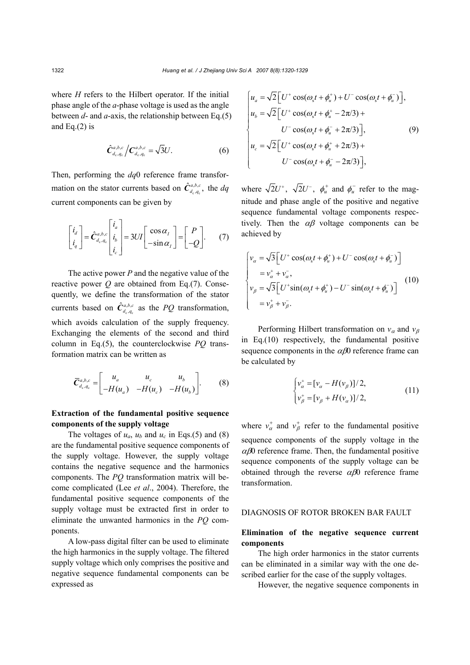where *H* refers to the Hilbert operator. If the initial phase angle of the *a*-phase voltage is used as the angle between *d*- and *a*-axis, the relationship between Eq.(5) and Eq. $(2)$  is

$$
\hat{\mathbf{C}}_{d_{\mathrm{c}},q_{\mathrm{c}}}^{a,b,c} / \mathbf{C}_{d_{\mathrm{c}},q_{\mathrm{c}}}^{a,b,c} = \sqrt{3}U. \tag{6}
$$

Then, performing the *dq*0 reference frame transformation on the stator currents based on  $\hat{C}^{a,b,c}_{d_c,q_c}$ , the  $dq$ current components can be given by

$$
\begin{bmatrix} i_d \\ i_q \end{bmatrix} = \hat{C}_{d_c,q_c}^{a,b,c} \begin{bmatrix} i_a \\ i_b \\ i_c \end{bmatrix} = 3UI \begin{bmatrix} \cos \alpha_1 \\ -\sin \alpha_1 \end{bmatrix} = \begin{bmatrix} P \\ -Q \end{bmatrix}.
$$
 (7)

The active power *P* and the negative value of the reactive power *Q* are obtained from Eq.(7). Consequently, we define the transformation of the stator currents based on  $\hat{C}_{d_c, q_c}^{a, b, c}$  as the *PQ* transformation, which avoids calculation of the supply frequency. Exchanging the elements of the second and third column in Eq.(5), the counterclockwise *PQ* transformation matrix can be written as

$$
\overline{C}_{d_c, q_c}^{a, b, c} = \begin{bmatrix} u_a & u_c & u_b \\ -H(u_a) & -H(u_c) & -H(u_b) \end{bmatrix}.
$$
 (8)

# **Extraction of the fundamental positive sequence components of the supply voltage**

The voltages of  $u_a$ ,  $u_b$  and  $u_c$  in Eqs.(5) and (8) are the fundamental positive sequence components of the supply voltage. However, the supply voltage contains the negative sequence and the harmonics components. The *PQ* transformation matrix will become complicated (Lee *et al*., 2004). Therefore, the fundamental positive sequence components of the supply voltage must be extracted first in order to eliminate the unwanted harmonics in the *PQ* components.

A low-pass digital filter can be used to eliminate the high harmonics in the supply voltage. The filtered supply voltage which only comprises the positive and negative sequence fundamental components can be expressed as

$$
\begin{cases}\n u_a = \sqrt{2} \Big[ U^+ \cos(\omega_s t + \phi_u^+) + U^- \cos(\omega_s t + \phi_u^-) \Big], \\
 u_b = \sqrt{2} \Big[ U^+ \cos(\omega_s t + \phi_u^+ - 2\pi/3) + \\
 U^- \cos(\omega_s t + \phi_u^- + 2\pi/3) \Big], \\
 u_c = \sqrt{2} \Big[ U^+ \cos(\omega_s t + \phi_u^+ + 2\pi/3) + \\
 U^- \cos(\omega_s t + \phi_u^- - 2\pi/3) \Big],\n\end{cases}
$$
\n(9)

where  $\sqrt{2}U^+$ ,  $\sqrt{2}U^-$ ,  $\phi_u^+$  and  $\phi_u^-$  refer to the magnitude and phase angle of the positive and negative sequence fundamental voltage components respectively. Then the  $\alpha\beta$  voltage components can be achieved by

$$
\begin{cases}\nv_{\alpha} = \sqrt{3} \Big[ U^+ \cos(\omega_s t + \phi_u^+) + U^- \cos(\omega_s t + \phi_u^-) \Big] \\
= v_{\alpha}^+ + v_{\alpha}^-,\n\end{cases}
$$
\n
$$
\begin{cases}\nv_{\beta} = \sqrt{3} \Big[ U^+ \sin(\omega_s t + \phi_u^+) - U^- \sin(\omega_s t + \phi_u^-) \Big] \\
= v_{\beta}^+ + v_{\beta}^-.\n\end{cases}
$$
\n(10)

Performing Hilbert transformation on  $v_\alpha$  and  $v_\beta$ in Eq.(10) respectively, the fundamental positive sequence components in the  $\alpha\beta$ 0 reference frame can be calculated by

$$
\begin{cases} v_{\alpha}^{+} = [v_{\alpha} - H(v_{\beta})]/2, \\ v_{\beta}^{+} = [v_{\beta} + H(v_{\alpha})]/2, \end{cases}
$$
 (11)

where  $v_{\alpha}^{+}$  and  $v_{\beta}^{+}$  refer to the fundamental positive sequence components of the supply voltage in the  $\alpha\beta$ 0 reference frame. Then, the fundamental positive sequence components of the supply voltage can be obtained through the reverse  $\alpha\beta$ 0 reference frame transformation.

### DIAGNOSIS OF ROTOR BROKEN BAR FAULT

## **Elimination of the negative sequence current components**

The high order harmonics in the stator currents can be eliminated in a similar way with the one described earlier for the case of the supply voltages.

However, the negative sequence components in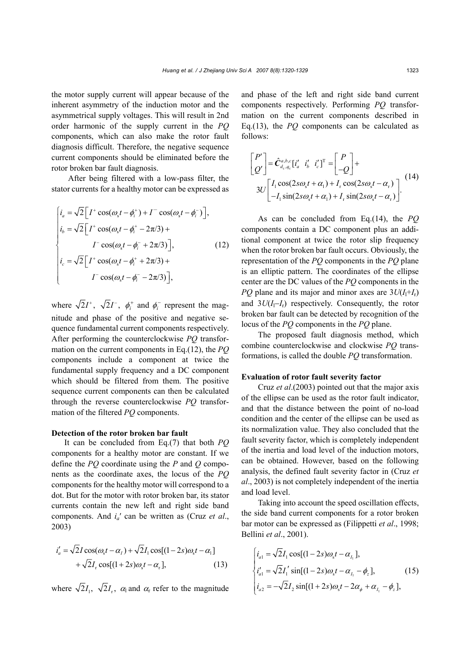the motor supply current will appear because of the inherent asymmetry of the induction motor and the asymmetrical supply voltages. This will result in 2nd order harmonic of the supply current in the *PQ* components, which can also make the rotor fault diagnosis difficult. Therefore, the negative sequence current components should be eliminated before the rotor broken bar fault diagnosis.

After being filtered with a low-pass filter, the stator currents for a healthy motor can be expressed as

$$
\begin{cases}\ni_a = \sqrt{2} \Big[ I^+ \cos(\omega_s t - \phi_i^+) + I^- \cos(\omega_s t - \phi_i^-) \Big], \\
i_b = \sqrt{2} \Big[ I^+ \cos(\omega_s t - \phi_i^+ - 2\pi/3) + \\
I^- \cos(\omega_s t - \phi_i^- + 2\pi/3) \Big], \\
i_c = \sqrt{2} \Big[ I^+ \cos(\omega_s t - \phi_i^+ + 2\pi/3) + \\
I^- \cos(\omega_s t - \phi_i^- - 2\pi/3) \Big],\n\end{cases}
$$
\n(12)

where  $\sqrt{2}I^+$ ,  $\sqrt{2}I^-$ ,  $\phi_i^+$  and  $\phi_i^-$  represent the magnitude and phase of the positive and negative sequence fundamental current components respectively. After performing the counterclockwise *PQ* transformation on the current components in Eq.(12), the *PQ* components include a component at twice the fundamental supply frequency and a DC component which should be filtered from them. The positive sequence current components can then be calculated through the reverse counterclockwise *PQ* transformation of the filtered *PQ* components.

#### **Detection of the rotor broken bar fault**

It can be concluded from Eq.(7) that both *PQ* components for a healthy motor are constant. If we define the *PQ* coordinate using the *P* and *Q* components as the coordinate axes, the locus of the *PQ* components for the healthy motor will correspond to a dot. But for the motor with rotor broken bar, its stator currents contain the new left and right side band components. And *ia*′ can be written as (Cruz *et al*., 2003)

$$
i'_a = \sqrt{2}I\cos(\omega_s t - \alpha_I) + \sqrt{2}I_1\cos[(1 - 2s)\omega_s t - \alpha_1] + \sqrt{2}I_r\cos[(1 + 2s)\omega_s t - \alpha_r],
$$
\n(13)

where  $\sqrt{2} I_1$ ,  $\sqrt{2} I_2$ ,  $\alpha$  and  $\alpha$  refer to the magnitude

and phase of the left and right side band current components respectively. Performing *PQ* transformation on the current components described in Eq.(13), the *PQ* components can be calculated as follows:

$$
\begin{bmatrix} P' \\ Q' \end{bmatrix} = \hat{C}_{d_c,q_c}^{a,b,c} [i'_a \ i'_b \ i'_c]^{\mathrm{T}} = \begin{bmatrix} P \\ -Q \end{bmatrix} +
$$
  
3U 
$$
\begin{bmatrix} I_1 \cos(2s\omega_s t + \alpha_1) + I_r \cos(2s\omega_s t - \alpha_r) \\ -I_1 \sin(2s\omega_s t + \alpha_1) + I_r \sin(2s\omega_s t - \alpha_r) \end{bmatrix}.
$$
 (14)

As can be concluded from Eq.(14), the *PQ* components contain a DC component plus an additional component at twice the rotor slip frequency when the rotor broken bar fault occurs. Obviously, the representation of the *PQ* components in the *PQ* plane is an elliptic pattern. The coordinates of the ellipse center are the DC values of the *PQ* components in the *PQ* plane and its major and minor axes are  $3U(I_1+I_r)$ and  $3U(I_1-I_r)$  respectively. Consequently, the rotor broken bar fault can be detected by recognition of the locus of the *PQ* components in the *PQ* plane.

The proposed fault diagnosis method, which combine counterclockwise and clockwise *PQ* transformations, is called the double *PQ* transformation.

## **Evaluation of rotor fault severity factor**

Cruz *et al*.(2003) pointed out that the major axis of the ellipse can be used as the rotor fault indicator, and that the distance between the point of no-load condition and the center of the ellipse can be used as its normalization value. They also concluded that the fault severity factor, which is completely independent of the inertia and load level of the induction motors, can be obtained. However, based on the following analysis, the defined fault severity factor in (Cruz *et al*., 2003) is not completely independent of the inertia and load level.

Taking into account the speed oscillation effects, the side band current components for a rotor broken bar motor can be expressed as (Filippetti *et al*., 1998; Bellini *et al*., 2001).

$$
\begin{cases}\ni_{a1} = \sqrt{2}I_1 \cos[(1-2s)\omega_s t - \alpha_{I_1}], \\
i'_{a1} = \sqrt{2}I_1' \sin[(1-2s)\omega_s t - \alpha_{I_1} - \phi_z], \\
i_{a2} = -\sqrt{2}I_2 \sin[(1+2s)\omega_s t - 2\alpha_{\phi} + \alpha_{I_1} - \phi_z],\n\end{cases}
$$
\n(15)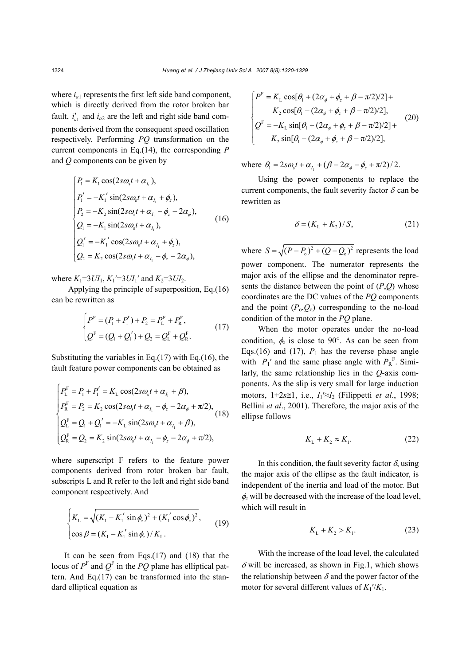where  $i_{a1}$  represents the first left side band component, which is directly derived from the rotor broken bar fault,  $i'_{a1}$  and  $i_{a2}$  are the left and right side band components derived from the consequent speed oscillation respectively. Performing *PQ* transformation on the current components in Eq.(14), the corresponding *P* and *Q* components can be given by

$$
\begin{cases}\nP_1 = K_1 \cos(2s\omega_s t + \alpha_{I_1}), \\
P'_1 = -K'_1 \sin(2s\omega_s t + \alpha_{I_1} + \phi_2), \\
P_2 = -K_2 \sin(2s\omega_s t + \alpha_{I_1} - \phi_2 - 2\alpha_{\phi}), \\
Q_1 = -K_1 \sin(2s\omega_s t + \alpha_{I_1}), \\
Q'_1 = -K'_1 \cos(2s\omega_s t + \alpha_{I_1} + \phi_2), \\
Q_2 = K_2 \cos(2s\omega_s t + \alpha_{I_1} - \phi_2 - 2\alpha_{\phi}),\n\end{cases} (16)
$$

where  $K_1 = 3U I_1$ ,  $K_1' = 3U I_1'$  and  $K_2 = 3U I_2$ .

Applying the principle of superposition, Eq.(16) can be rewritten as

$$
\begin{cases}\nP^{\mathrm{F}} = (P_{1} + P_{1}') + P_{2} = P_{\mathrm{L}}^{\mathrm{F}} + P_{\mathrm{R}}^{\mathrm{F}}, \nQ^{\mathrm{F}} = (Q_{1} + Q_{1}') + Q_{2} = Q_{\mathrm{L}}^{\mathrm{F}} + Q_{\mathrm{R}}^{\mathrm{F}}.\n\end{cases}
$$
\n(17)

Substituting the variables in Eq. $(17)$  with Eq. $(16)$ , the fault feature power components can be obtained as

$$
\begin{cases}\nP_{\rm L}^{\rm F} = P_{\rm l} + P_{\rm l}' = K_{\rm L} \cos(2s\omega_s t + \alpha_{I_1} + \beta), \\
P_{\rm R}^{\rm F} = P_{\rm 2} = K_{\rm 2} \cos(2s\omega_s t + \alpha_{I_1} - \phi_{\rm z} - 2\alpha_{\phi} + \pi/2), \\
Q_{\rm L}^{\rm F} = Q_{\rm l} + Q_{\rm l}' = -K_{\rm L} \sin(2s\omega_s t + \alpha_{I_1} + \beta), \\
Q_{\rm R}^{\rm F} = Q_{\rm 2} = K_{\rm 2} \sin(2s\omega_s t + \alpha_{I_1} - \phi_{\rm z} - 2\alpha_{\phi} + \pi/2),\n\end{cases} (18)
$$

where superscript F refers to the feature power components derived from rotor broken bar fault, subscripts L and R refer to the left and right side band component respectively. And

$$
\begin{cases} K_{\text{L}} = \sqrt{(K_1 - K_1' \sin \phi_z)^2 + (K_1' \cos \phi_z)^2}, \\ \cos \beta = (K_1 - K_1' \sin \phi_z) / K_{\text{L}}. \end{cases}
$$
(19)

It can be seen from Eqs.(17) and (18) that the locus of  $P^{\text{F}}$  and  $Q^{\text{F}}$  in the *PQ* plane has elliptical pattern. And Eq.(17) can be transformed into the standard elliptical equation as

$$
\begin{cases}\nP^{\mathrm{F}} = K_{\mathrm{L}} \cos[\theta_{1} + (2\alpha_{\phi} + \phi_{z} + \beta - \pi/2)/2] + \\
K_{2} \cos[\theta_{1} - (2\alpha_{\phi} + \phi_{z} + \beta - \pi/2)/2], \\
Q^{\mathrm{F}} = -K_{\mathrm{L}} \sin[\theta_{1} + (2\alpha_{\phi} + \phi_{z} + \beta - \pi/2)/2] + \\
K_{2} \sin[\theta_{1} - (2\alpha_{\phi} + \phi_{z} + \beta - \pi/2)/2],\n\end{cases}
$$
\n(20)

where  $\theta_1 = 2 s \omega_s t + \alpha_L + (\beta - 2 \alpha_s - \phi_z + \pi/2)/2$ .

Using the power components to replace the current components, the fault severity factor  $\delta$  can be rewritten as

$$
\delta = (K_{\rm L} + K_2) / S,\tag{21}
$$

where  $S = \sqrt{(P - P_0)^2 + (Q - Q_0)^2}$  represents the load power component. The numerator represents the major axis of the ellipse and the denominator represents the distance between the point of (*P*,*Q*) whose coordinates are the DC values of the *PQ* components and the point  $(P_0, Q_0)$  corresponding to the no-load condition of the motor in the *PQ* plane.

When the motor operates under the no-load condition,  $\phi_z$  is close to 90°. As can be seen from Eqs.(16) and (17),  $P_1$  has the reverse phase angle with  $P_1'$  and the same phase angle with  $P_R^F$ . Similarly, the same relationship lies in the *Q*-axis components. As the slip is very small for large induction motors, 1±2*s*≅1, i.e., *I*1′≈*I*2 (Filippetti *et al*., 1998; Bellini *et al*., 2001). Therefore, the major axis of the ellipse follows

$$
K_{\rm L} + K_2 \approx K_{\rm L}.\tag{22}
$$

In this condition, the fault severity factor  $\delta$ , using the major axis of the ellipse as the fault indicator, is independent of the inertia and load of the motor. But φ*z* will be decreased with the increase of the load level, which will result in

$$
K_{\rm L} + K_2 > K_{\rm l}.\tag{23}
$$

With the increase of the load level, the calculated  $\delta$  will be increased, as shown in Fig.1, which shows the relationship between  $\delta$  and the power factor of the motor for several different values of  $K_1'/K_1$ .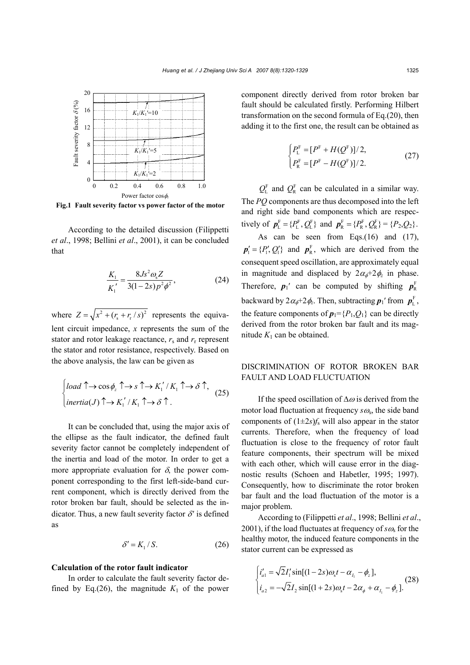

**Fig.1 Fault severity factor vs power factor of the motor**

According to the detailed discussion (Filippetti *et al*., 1998; Bellini *et al*., 2001), it can be concluded that

$$
\frac{K_1}{K_1'} = \frac{8Js^2\omega_s Z}{3(1-2s)p^2\phi^2},
$$
\n(24)

where  $Z = \sqrt{x^2 + (r_s + r_r /s)^2}$  represents the equivalent circuit impedance, *x* represents the sum of the stator and rotor leakage reactance,  $r_s$  and  $r_r$  represent the stator and rotor resistance, respectively. Based on the above analysis, the law can be given as

$$
\begin{cases}\n\text{load } \uparrow \to \cos \phi_z \uparrow \to s \uparrow \to K_1'/K_1 \uparrow \to \delta \uparrow, \\
\text{inertia}(J) \uparrow \to K_1'/K_1 \uparrow \to \delta \uparrow.\n\end{cases} (25)
$$

It can be concluded that, using the major axis of the ellipse as the fault indicator, the defined fault severity factor cannot be completely independent of the inertia and load of the motor. In order to get a more appropriate evaluation for  $\delta$ , the power component corresponding to the first left-side-band current component, which is directly derived from the rotor broken bar fault, should be selected as the indicator. Thus, a new fault severity factor  $\delta'$  is defined as

$$
\delta' = K_1 / S. \tag{26}
$$

#### **Calculation of the rotor fault indicator**

In order to calculate the fault severity factor defined by Eq.(26), the magnitude  $K_1$  of the power component directly derived from rotor broken bar fault should be calculated firstly. Performing Hilbert transformation on the second formula of Eq.(20), then adding it to the first one, the result can be obtained as

$$
\begin{cases} P_{\rm L}^{\rm F} = [P^{\rm F} + H(Q^{\rm F})]/2, \\ P_{\rm R}^{\rm F} = [P^{\rm F} - H(Q^{\rm F})]/2. \end{cases} \tag{27}
$$

 $Q_{\rm L}^{\rm F}$  and  $Q_{\rm R}^{\rm F}$  can be calculated in a similar way. The *PQ* components are thus decomposed into the left and right side band components which are respectively of  $p_{\text{L}}^{\text{F}} = \{P_{\text{L}}^{\text{F}}, Q_{\text{L}}^{\text{F}}\}$  and  $p_{\text{R}}^{\text{F}} = \{P_{\text{R}}^{\text{F}}, Q_{\text{R}}^{\text{F}}\} = \{P_{2}, Q_{2}\}.$ 

As can be seen from Eqs.(16) and (17),  $p'_1 = \{P'_1, Q'_1\}$  and  $p_R^F$ , which are derived from the consequent speed oscillation, are approximately equal in magnitude and displaced by  $2\alpha_{\phi}+2\phi_{z}$  in phase. Therefore,  $p_1$ ' can be computed by shifting  $p_R^F$ backward by  $2\alpha_{\phi}+2\phi_z$ . Then, subtracting  $\boldsymbol{p}_1$ ' from  $\boldsymbol{p}_L^F$ , the feature components of  $p_1 = {P_1, Q_1}$  can be directly derived from the rotor broken bar fault and its magnitude  $K_1$  can be obtained.

# DISCRIMINATION OF ROTOR BROKEN BAR FAULT AND LOAD FLUCTUATION

If the speed oscillation of  $\Delta\omega$  is derived from the motor load fluctuation at frequency  $s\omega_s$ , the side band components of  $(1\pm 2s)f_s$  will also appear in the stator currents. Therefore, when the frequency of load fluctuation is close to the frequency of rotor fault feature components, their spectrum will be mixed with each other, which will cause error in the diagnostic results (Schoen and Habetler, 1995; 1997). Consequently, how to discriminate the rotor broken bar fault and the load fluctuation of the motor is a major problem.

According to (Filippetti *et al*., 1998; Bellini *et al*., 2001), if the load fluctuates at frequency of  $s\omega_s$  for the healthy motor, the induced feature components in the stator current can be expressed as

$$
\begin{cases}\ni'_{a1} = \sqrt{2}I'_1 \sin[(1-2s)\omega_s t - \alpha_{I_1} - \phi_z], \\
i_{a2} = -\sqrt{2}I_2 \sin[(1+2s)\omega_s t - 2\alpha_{\phi} + \alpha_{I_1} - \phi_z].\n\end{cases}
$$
\n(28)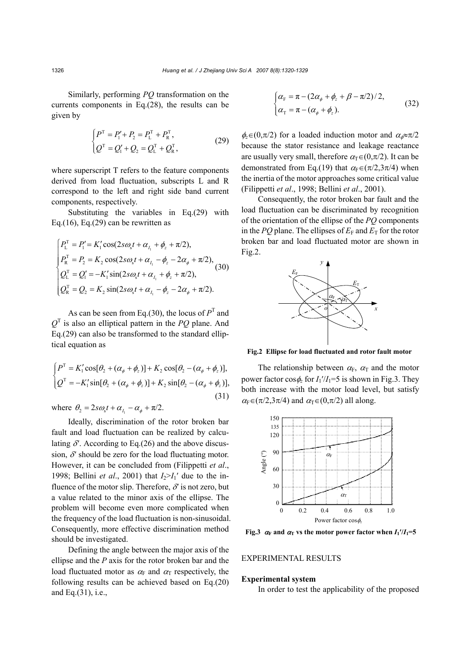Similarly, performing *PQ* transformation on the currents components in Eq.(28), the results can be given by

$$
\begin{cases}\n P^{\mathrm{T}} = P_{1}^{\prime} + P_{2} = P_{\mathrm{L}}^{\mathrm{T}} + P_{\mathrm{R}}^{\mathrm{T}}, \\
 Q^{\mathrm{T}} = Q_{1}^{\prime} + Q_{2} = Q_{\mathrm{L}}^{\mathrm{T}} + Q_{\mathrm{R}}^{\mathrm{T}},\n\end{cases} (29)
$$

where superscript T refers to the feature components derived from load fluctuation, subscripts L and R correspond to the left and right side band current components, respectively.

Substituting the variables in Eq.(29) with Eq.(16), Eq.(29) can be rewritten as

$$
\begin{cases}\nP_{\rm L}^{\rm T} = P_{\rm I}^{\prime} = K_{\rm I}^{\prime} \cos(2s\omega_{\rm s}t + \alpha_{I_{\rm I}} + \phi_{z} + \pi/2),\\
P_{\rm R}^{\rm T} = P_{\rm 2} = K_{\rm 2} \cos(2s\omega_{\rm s}t + \alpha_{I_{\rm I}} - \phi_{z} - 2\alpha_{\phi} + \pi/2),\\
Q_{\rm L}^{\rm T} = Q_{\rm I}^{\prime} = -K_{\rm I}^{\prime} \sin(2s\omega_{\rm s}t + \alpha_{I_{\rm I}} + \phi_{z} + \pi/2),\\
Q_{\rm R}^{\rm T} = Q_{\rm 2} = K_{\rm 2} \sin(2s\omega_{\rm s}t + \alpha_{I_{\rm I}} - \phi_{z} - 2\alpha_{\phi} + \pi/2).\n\end{cases} (30)
$$

As can be seen from Eq.(30), the locus of  $P<sup>T</sup>$  and *Q*T is also an elliptical pattern in the *PQ* plane. And Eq.(29) can also be transformed to the standard elliptical equation as

$$
\begin{cases}\nP^{\mathrm{T}} = K_1' \cos[\theta_2 + (\alpha_\phi + \phi_z)] + K_2 \cos[\theta_2 - (\alpha_\phi + \phi_z)], \\
Q^{\mathrm{T}} = -K_1' \sin[\theta_2 + (\alpha_\phi + \phi_z)] + K_2 \sin[\theta_2 - (\alpha_\phi + \phi_z)],\n\end{cases}
$$
\n(31)

where  $\theta_2 = 2 s \omega_s t + \alpha_{I_1} - \alpha_{\phi} + \pi/2$ .

Ideally, discrimination of the rotor broken bar fault and load fluctuation can be realized by calculating  $\delta'$ . According to Eq.(26) and the above discussion,  $\delta'$  should be zero for the load fluctuating motor. However, it can be concluded from (Filippetti *et al*., 1998; Bellini *et al.*, 2001) that  $I_2>I_1'$  due to the influence of the motor slip. Therefore,  $\delta'$  is not zero, but a value related to the minor axis of the ellipse. The problem will become even more complicated when the frequency of the load fluctuation is non-sinusoidal. Consequently, more effective discrimination method should be investigated.

Defining the angle between the major axis of the ellipse and the *P* axis for the rotor broken bar and the load fluctuated motor as  $\alpha_F$  and  $\alpha_T$  respectively, the following results can be achieved based on Eq.(20) and Eq.(31), i.e.,

$$
\begin{cases}\n\alpha_{\rm F} = \pi - (2\alpha_{\phi} + \phi_z + \beta - \pi/2)/2, \\
\alpha_{\rm T} = \pi - (\alpha_{\phi} + \phi_z).\n\end{cases}
$$
\n(32)

 $\phi$ <sub>z</sub>∈(0, $\pi$ /2) for a loaded induction motor and  $\alpha$ <sub>ø</sub>≈ $\pi$ /2 because the stator resistance and leakage reactance are usually very small, therefore  $\alpha_{\text{T}} \in (0,\pi/2)$ . It can be demonstrated from Eq.(19) that  $\alpha_F \in (\pi/2, 3\pi/4)$  when the inertia of the motor approaches some critical value (Filippetti *et al*., 1998; Bellini *et al*., 2001).

Consequently, the rotor broken bar fault and the load fluctuation can be discriminated by recognition of the orientation of the ellipse of the *PQ* components in the *PQ* plane. The ellipses of  $E_F$  and  $E_T$  for the rotor broken bar and load fluctuated motor are shown in Fig.2.



**Fig.2 Ellipse for load fluctuated and rotor fault motor**

The relationship between  $\alpha_F$ ,  $\alpha_T$  and the motor power factor  $\cos \phi_z$  for  $I_1'/I_1 = 5$  is shown in Fig.3. They both increase with the motor load level, but satisfy  $\alpha_F \in (\pi/2, 3\pi/4)$  and  $\alpha_T \in (0, \pi/2)$  all along.



**Fig.3**  $\alpha_F$  and  $\alpha_T$  vs the motor power factor when  $I_1/I_1=5$ 

#### EXPERIMENTAL RESULTS

#### **Experimental system**

In order to test the applicability of the proposed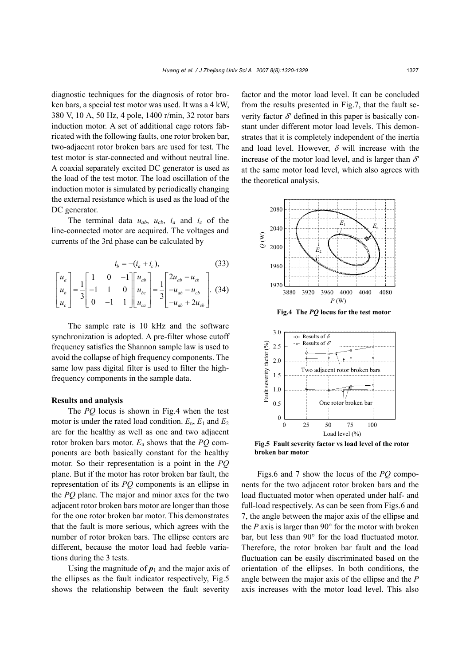diagnostic techniques for the diagnosis of rotor broken bars, a special test motor was used. It was a 4 kW, 380 V, 10 A, 50 Hz, 4 pole, 1400 r/min, 32 rotor bars induction motor. A set of additional cage rotors fabricated with the following faults, one rotor broken bar, two-adjacent rotor broken bars are used for test. The test motor is star-connected and without neutral line. A coaxial separately excited DC generator is used as the load of the test motor. The load oscillation of the induction motor is simulated by periodically changing the external resistance which is used as the load of the DC generator.

The terminal data  $u_{ab}$ ,  $u_{cb}$ ,  $i_a$  and  $i_c$  of the line-connected motor are acquired. The voltages and currents of the 3rd phase can be calculated by

$$
i_b = -(i_a + i_c),
$$
\n(33)\n
$$
\begin{bmatrix} u_a \\ u_b \\ u_c \end{bmatrix} = \frac{1}{3} \begin{bmatrix} 1 & 0 & -1 \\ -1 & 1 & 0 \\ 0 & -1 & 1 \end{bmatrix} \begin{bmatrix} u_{ab} \\ u_{bc} \\ u_{ca} \end{bmatrix} = \frac{1}{3} \begin{bmatrix} 2u_{ab} - u_{cb} \\ -u_{ab} - u_{cb} \\ -u_{ab} + 2u_{cb} \end{bmatrix}.
$$
\n(34)

The sample rate is 10 kHz and the software synchronization is adopted. A pre-filter whose cutoff frequency satisfies the Shannon sample law is used to avoid the collapse of high frequency components. The same low pass digital filter is used to filter the highfrequency components in the sample data.

#### **Results and analysis**

The *PQ* locus is shown in Fig.4 when the test motor is under the rated load condition.  $E_n$ ,  $E_1$  and  $E_2$ are for the healthy as well as one and two adjacent rotor broken bars motor. *E*n shows that the *PQ* components are both basically constant for the healthy motor. So their representation is a point in the *PQ* plane. But if the motor has rotor broken bar fault, the representation of its *PQ* components is an ellipse in the *PQ* plane. The major and minor axes for the two adjacent rotor broken bars motor are longer than those for the one rotor broken bar motor. This demonstrates that the fault is more serious, which agrees with the number of rotor broken bars. The ellipse centers are different, because the motor load had feeble variations during the 3 tests.

Using the magnitude of  $p_1$  and the major axis of the ellipses as the fault indicator respectively, Fig.5 shows the relationship between the fault severity

factor and the motor load level. It can be concluded from the results presented in Fig.7, that the fault severity factor  $\delta'$  defined in this paper is basically constant under different motor load levels. This demonstrates that it is completely independent of the inertia and load level. However,  $\delta$  will increase with the increase of the motor load level, and is larger than  $\delta'$ at the same motor load level, which also agrees with the theoretical analysis.





**Fig.5 Fault severity factor vs load level of the rotor broken bar motor** 

Figs.6 and 7 show the locus of the *PQ* components for the two adjacent rotor broken bars and the load fluctuated motor when operated under half- and full-load respectively. As can be seen from Figs.6 and 7, the angle between the major axis of the ellipse and the *P* axis is larger than 90° for the motor with broken bar, but less than 90° for the load fluctuated motor. Therefore, the rotor broken bar fault and the load fluctuation can be easily discriminated based on the orientation of the ellipses. In both conditions, the angle between the major axis of the ellipse and the *P* axis increases with the motor load level. This also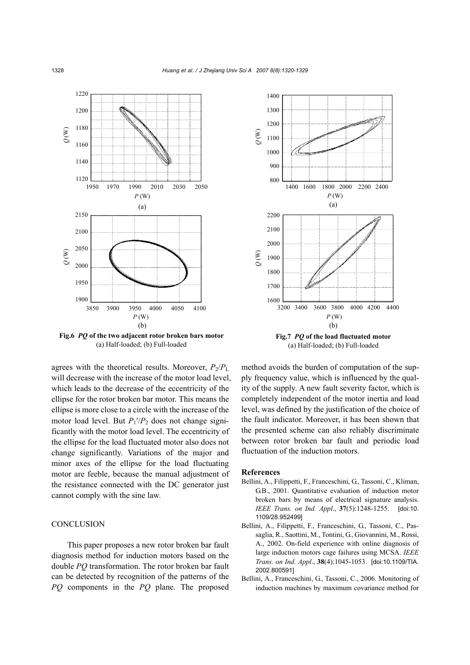

**Fig.6** *PQ* **of the two adjacent rotor broken bars motor**  (a) Half-loaded; (b) Full-loaded

agrees with the theoretical results. Moreover,  $P_2/P_L$ will decrease with the increase of the motor load level, which leads to the decrease of the eccentricity of the ellipse for the rotor broken bar motor. This means the ellipse is more close to a circle with the increase of the motor load level. But  $P_1$ <sup>'</sup>/ $P_2$  does not change significantly with the motor load level. The eccentricity of the ellipse for the load fluctuated motor also does not change significantly. Variations of the major and minor axes of the ellipse for the load fluctuating motor are feeble, because the manual adjustment of the resistance connected with the DC generator just cannot comply with the sine law.

#### **CONCLUSION**

This paper proposes a new rotor broken bar fault diagnosis method for induction motors based on the double *PQ* transformation. The rotor broken bar fault can be detected by recognition of the patterns of the *PQ* components in the *PQ* plane. The proposed



(a) Half-loaded; (b) Full-loaded

method avoids the burden of computation of the supply frequency value, which is influenced by the quality of the supply. A new fault severity factor, which is completely independent of the motor inertia and load level, was defined by the justification of the choice of the fault indicator. Moreover, it has been shown that the presented scheme can also reliably discriminate between rotor broken bar fault and periodic load fluctuation of the induction motors.

### **References**

- Bellini, A., Filippetti, F., Franceschini, G., Tassoni, C., Kliman, G.B., 2001. Quantitative evaluation of induction motor broken bars by means of electrical signature analysis. *IEEE Trans. on Ind. Appl*., **37**(5):1248-1255. [doi:10. 1109/28.952499]
- Bellini, A., Filippetti, F., Franceschini, G., Tassoni, C., Passaglia, R., Saottini, M., Tontini, G., Giovannini, M., Rossi, A., 2002. On-field experience with online diagnosis of large induction motors cage failures using MCSA. *IEEE Trans. on Ind. Appl*., **38**(4):1045-1053. [doi:10.1109/TIA. 2002.800591]
- Bellini, A., Franceschini, G., Tassoni, C., 2006. Monitoring of induction machines by maximum covariance method for